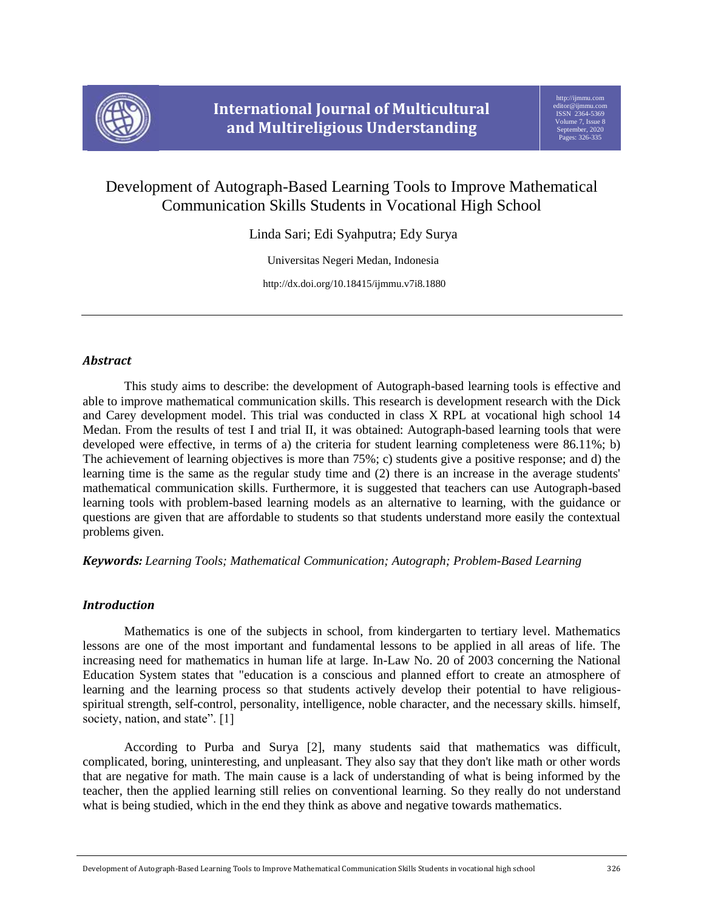

# Development of Autograph-Based Learning Tools to Improve Mathematical Communication Skills Students in Vocational High School

Linda Sari; Edi Syahputra; Edy Surya

Universitas Negeri Medan, Indonesia

http://dx.doi.org/10.18415/ijmmu.v7i8.1880

# *Abstract*

This study aims to describe: the development of Autograph-based learning tools is effective and able to improve mathematical communication skills. This research is development research with the Dick and Carey development model. This trial was conducted in class X RPL at vocational high school 14 Medan. From the results of test I and trial II, it was obtained: Autograph-based learning tools that were developed were effective, in terms of a) the criteria for student learning completeness were 86.11%; b) The achievement of learning objectives is more than 75%; c) students give a positive response; and d) the learning time is the same as the regular study time and (2) there is an increase in the average students' mathematical communication skills. Furthermore, it is suggested that teachers can use Autograph-based learning tools with problem-based learning models as an alternative to learning, with the guidance or questions are given that are affordable to students so that students understand more easily the contextual problems given.

# *Keywords: Learning Tools; Mathematical Communication; Autograph; Problem-Based Learning*

# *Introduction*

Mathematics is one of the subjects in school, from kindergarten to tertiary level. Mathematics lessons are one of the most important and fundamental lessons to be applied in all areas of life. The increasing need for mathematics in human life at large. In-Law No. 20 of 2003 concerning the National Education System states that "education is a conscious and planned effort to create an atmosphere of learning and the learning process so that students actively develop their potential to have religiousspiritual strength, self-control, personality, intelligence, noble character, and the necessary skills. himself, society, nation, and state". [1]

According to Purba and Surya [2], many students said that mathematics was difficult, complicated, boring, uninteresting, and unpleasant. They also say that they don't like math or other words that are negative for math. The main cause is a lack of understanding of what is being informed by the teacher, then the applied learning still relies on conventional learning. So they really do not understand what is being studied, which in the end they think as above and negative towards mathematics.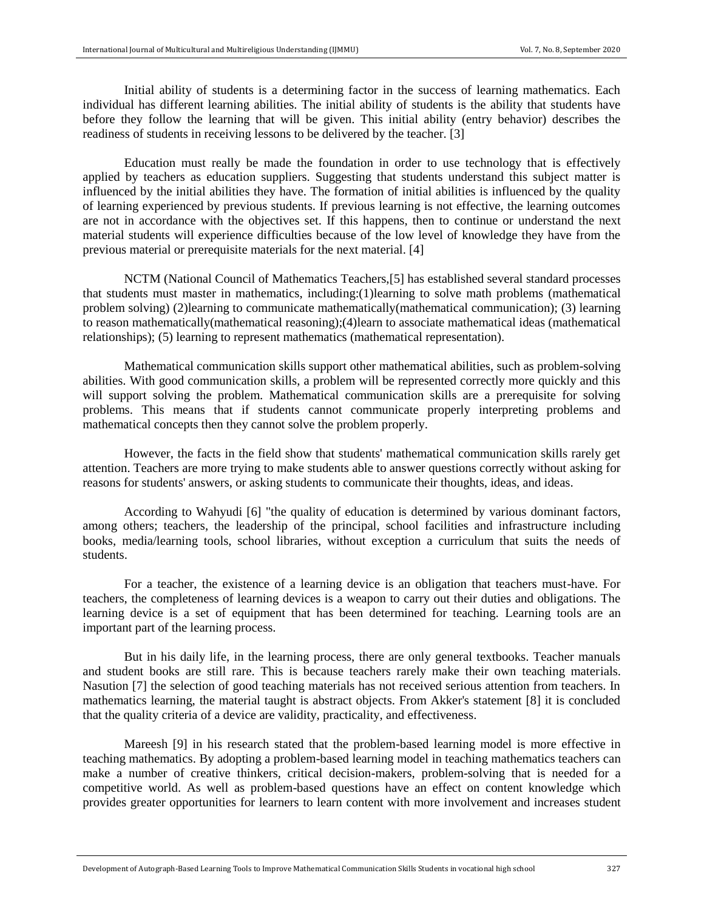Initial ability of students is a determining factor in the success of learning mathematics. Each individual has different learning abilities. The initial ability of students is the ability that students have before they follow the learning that will be given. This initial ability (entry behavior) describes the readiness of students in receiving lessons to be delivered by the teacher. [3]

Education must really be made the foundation in order to use technology that is effectively applied by teachers as education suppliers. Suggesting that students understand this subject matter is influenced by the initial abilities they have. The formation of initial abilities is influenced by the quality of learning experienced by previous students. If previous learning is not effective, the learning outcomes are not in accordance with the objectives set. If this happens, then to continue or understand the next material students will experience difficulties because of the low level of knowledge they have from the previous material or prerequisite materials for the next material. [4]

NCTM (National Council of Mathematics Teachers,[5] has established several standard processes that students must master in mathematics, including:(1)learning to solve math problems (mathematical problem solving) (2)learning to communicate mathematically(mathematical communication); (3) learning to reason mathematically(mathematical reasoning);(4)learn to associate mathematical ideas (mathematical relationships); (5) learning to represent mathematics (mathematical representation).

Mathematical communication skills support other mathematical abilities, such as problem-solving abilities. With good communication skills, a problem will be represented correctly more quickly and this will support solving the problem. Mathematical communication skills are a prerequisite for solving problems. This means that if students cannot communicate properly interpreting problems and mathematical concepts then they cannot solve the problem properly.

However, the facts in the field show that students' mathematical communication skills rarely get attention. Teachers are more trying to make students able to answer questions correctly without asking for reasons for students' answers, or asking students to communicate their thoughts, ideas, and ideas.

According to Wahyudi [6] "the quality of education is determined by various dominant factors, among others; teachers, the leadership of the principal, school facilities and infrastructure including books, media/learning tools, school libraries, without exception a curriculum that suits the needs of students.

For a teacher, the existence of a learning device is an obligation that teachers must-have. For teachers, the completeness of learning devices is a weapon to carry out their duties and obligations. The learning device is a set of equipment that has been determined for teaching. Learning tools are an important part of the learning process.

But in his daily life, in the learning process, there are only general textbooks. Teacher manuals and student books are still rare. This is because teachers rarely make their own teaching materials. Nasution [7] the selection of good teaching materials has not received serious attention from teachers. In mathematics learning, the material taught is abstract objects. From Akker's statement [8] it is concluded that the quality criteria of a device are validity, practicality, and effectiveness.

Mareesh [9] in his research stated that the problem-based learning model is more effective in teaching mathematics. By adopting a problem-based learning model in teaching mathematics teachers can make a number of creative thinkers, critical decision-makers, problem-solving that is needed for a competitive world. As well as problem-based questions have an effect on content knowledge which provides greater opportunities for learners to learn content with more involvement and increases student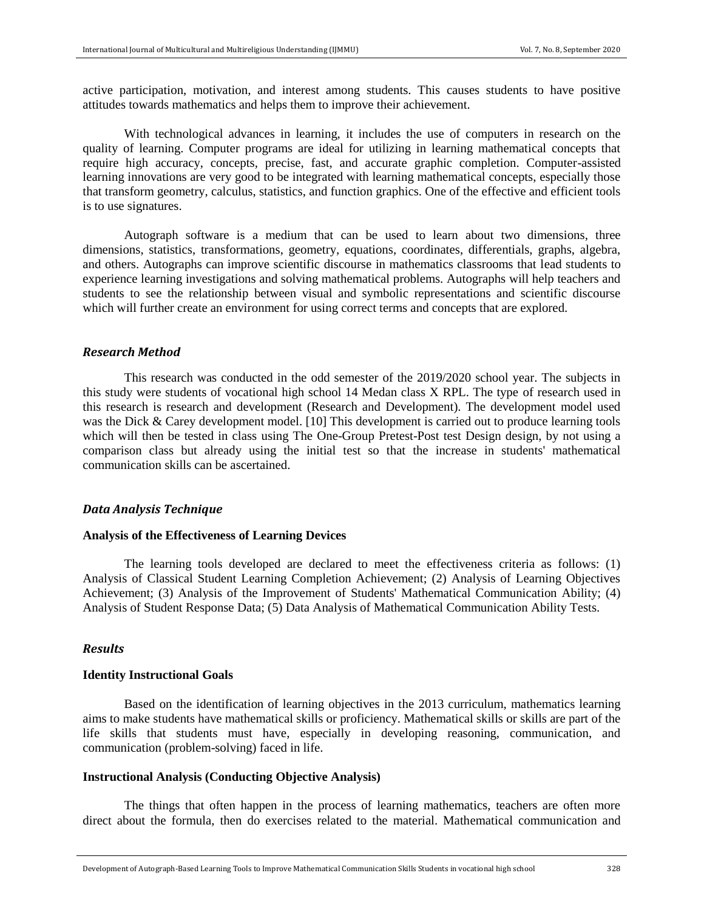active participation, motivation, and interest among students. This causes students to have positive attitudes towards mathematics and helps them to improve their achievement.

With technological advances in learning, it includes the use of computers in research on the quality of learning. Computer programs are ideal for utilizing in learning mathematical concepts that require high accuracy, concepts, precise, fast, and accurate graphic completion. Computer-assisted learning innovations are very good to be integrated with learning mathematical concepts, especially those that transform geometry, calculus, statistics, and function graphics. One of the effective and efficient tools is to use signatures.

Autograph software is a medium that can be used to learn about two dimensions, three dimensions, statistics, transformations, geometry, equations, coordinates, differentials, graphs, algebra, and others. Autographs can improve scientific discourse in mathematics classrooms that lead students to experience learning investigations and solving mathematical problems. Autographs will help teachers and students to see the relationship between visual and symbolic representations and scientific discourse which will further create an environment for using correct terms and concepts that are explored.

#### *Research Method*

This research was conducted in the odd semester of the 2019/2020 school year. The subjects in this study were students of vocational high school 14 Medan class X RPL. The type of research used in this research is research and development (Research and Development). The development model used was the Dick & Carey development model. [10] This development is carried out to produce learning tools which will then be tested in class using The One-Group Pretest-Post test Design design, by not using a comparison class but already using the initial test so that the increase in students' mathematical communication skills can be ascertained.

#### *Data Analysis Technique*

#### **Analysis of the Effectiveness of Learning Devices**

The learning tools developed are declared to meet the effectiveness criteria as follows: (1) Analysis of Classical Student Learning Completion Achievement; (2) Analysis of Learning Objectives Achievement; (3) Analysis of the Improvement of Students' Mathematical Communication Ability; (4) Analysis of Student Response Data; (5) Data Analysis of Mathematical Communication Ability Tests.

### *Results*

#### **Identity Instructional Goals**

Based on the identification of learning objectives in the 2013 curriculum, mathematics learning aims to make students have mathematical skills or proficiency. Mathematical skills or skills are part of the life skills that students must have, especially in developing reasoning, communication, and communication (problem-solving) faced in life.

# **Instructional Analysis (Conducting Objective Analysis)**

The things that often happen in the process of learning mathematics, teachers are often more direct about the formula, then do exercises related to the material. Mathematical communication and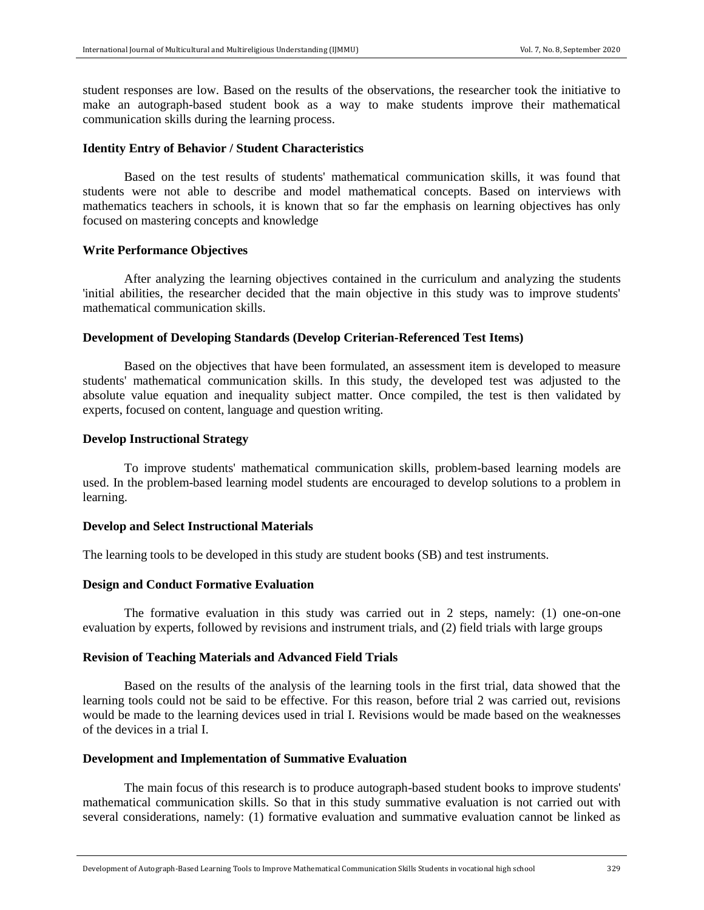student responses are low. Based on the results of the observations, the researcher took the initiative to make an autograph-based student book as a way to make students improve their mathematical communication skills during the learning process.

### **Identity Entry of Behavior / Student Characteristics**

Based on the test results of students' mathematical communication skills, it was found that students were not able to describe and model mathematical concepts. Based on interviews with mathematics teachers in schools, it is known that so far the emphasis on learning objectives has only focused on mastering concepts and knowledge

#### **Write Performance Objectives**

After analyzing the learning objectives contained in the curriculum and analyzing the students 'initial abilities, the researcher decided that the main objective in this study was to improve students' mathematical communication skills.

#### **Development of Developing Standards (Develop Criterian-Referenced Test Items)**

Based on the objectives that have been formulated, an assessment item is developed to measure students' mathematical communication skills. In this study, the developed test was adjusted to the absolute value equation and inequality subject matter. Once compiled, the test is then validated by experts, focused on content, language and question writing.

#### **Develop Instructional Strategy**

To improve students' mathematical communication skills, problem-based learning models are used. In the problem-based learning model students are encouraged to develop solutions to a problem in learning.

#### **Develop and Select Instructional Materials**

The learning tools to be developed in this study are student books (SB) and test instruments.

# **Design and Conduct Formative Evaluation**

The formative evaluation in this study was carried out in 2 steps, namely: (1) one-on-one evaluation by experts, followed by revisions and instrument trials, and (2) field trials with large groups

# **Revision of Teaching Materials and Advanced Field Trials**

Based on the results of the analysis of the learning tools in the first trial, data showed that the learning tools could not be said to be effective. For this reason, before trial 2 was carried out, revisions would be made to the learning devices used in trial I. Revisions would be made based on the weaknesses of the devices in a trial I.

#### **Development and Implementation of Summative Evaluation**

The main focus of this research is to produce autograph-based student books to improve students' mathematical communication skills. So that in this study summative evaluation is not carried out with several considerations, namely: (1) formative evaluation and summative evaluation cannot be linked as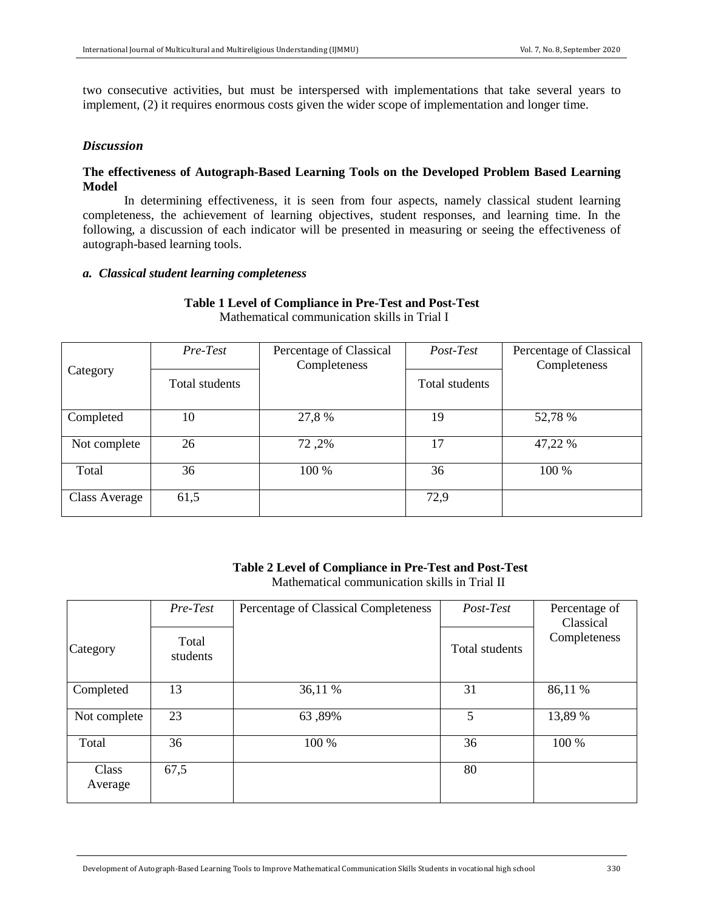two consecutive activities, but must be interspersed with implementations that take several years to implement, (2) it requires enormous costs given the wider scope of implementation and longer time.

# *Discussion*

# **The effectiveness of Autograph-Based Learning Tools on the Developed Problem Based Learning Model**

In determining effectiveness, it is seen from four aspects, namely classical student learning completeness, the achievement of learning objectives, student responses, and learning time. In the following, a discussion of each indicator will be presented in measuring or seeing the effectiveness of autograph-based learning tools.

#### *a. Classical student learning completeness*

#### **Table 1 Level of Compliance in Pre-Test and Post-Test** Mathematical communication skills in Trial I

| Category      | Pre-Test       | Percentage of Classical<br>Completeness | Post-Test      | Percentage of Classical<br>Completeness |
|---------------|----------------|-----------------------------------------|----------------|-----------------------------------------|
|               | Total students |                                         | Total students |                                         |
| Completed     | 10             | 27,8 %                                  | 19             | 52,78 %                                 |
| Not complete  | 26             | 72,2%                                   | 17             | 47,22 %                                 |
| Total         | 36             | 100 %                                   | 36             | 100 %                                   |
| Class Average | 61,5           |                                         | 72,9           |                                         |

#### **Table 2 Level of Compliance in Pre-Test and Post-Test** Mathematical communication skills in Trial II

| Category         | Pre-Test<br>Total<br>students | Percentage of Classical Completeness | Post-Test<br>Total students | Percentage of<br>Classical<br>Completeness |
|------------------|-------------------------------|--------------------------------------|-----------------------------|--------------------------------------------|
|                  |                               |                                      |                             |                                            |
| Completed        | 13                            | 36,11 %                              | 31                          | 86,11 %                                    |
| Not complete     | 23                            | 63,89%                               | 5                           | 13,89 %                                    |
| Total            | 36                            | 100 %                                | 36                          | 100 %                                      |
| Class<br>Average | 67,5                          |                                      | 80                          |                                            |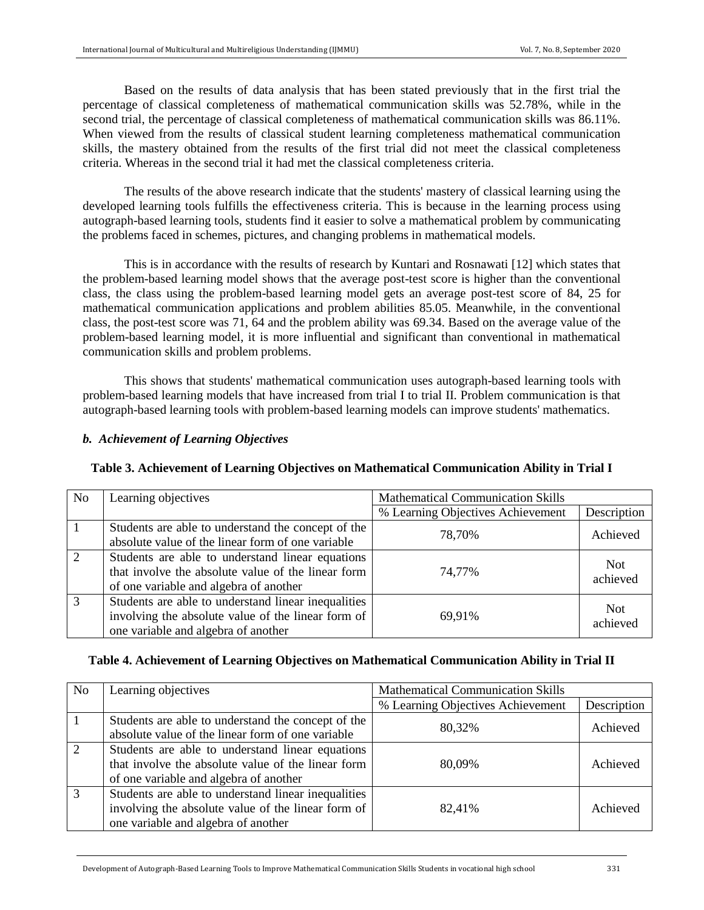Based on the results of data analysis that has been stated previously that in the first trial the percentage of classical completeness of mathematical communication skills was 52.78%, while in the second trial, the percentage of classical completeness of mathematical communication skills was 86.11%. When viewed from the results of classical student learning completeness mathematical communication skills, the mastery obtained from the results of the first trial did not meet the classical completeness criteria. Whereas in the second trial it had met the classical completeness criteria.

The results of the above research indicate that the students' mastery of classical learning using the developed learning tools fulfills the effectiveness criteria. This is because in the learning process using autograph-based learning tools, students find it easier to solve a mathematical problem by communicating the problems faced in schemes, pictures, and changing problems in mathematical models.

This is in accordance with the results of research by Kuntari and Rosnawati [12] which states that the problem-based learning model shows that the average post-test score is higher than the conventional class, the class using the problem-based learning model gets an average post-test score of 84, 25 for mathematical communication applications and problem abilities 85.05. Meanwhile, in the conventional class, the post-test score was 71, 64 and the problem ability was 69.34. Based on the average value of the problem-based learning model, it is more influential and significant than conventional in mathematical communication skills and problem problems.

This shows that students' mathematical communication uses autograph-based learning tools with problem-based learning models that have increased from trial I to trial II. Problem communication is that autograph-based learning tools with problem-based learning models can improve students' mathematics.

# *b. Achievement of Learning Objectives*

|  |  | Table 3. Achievement of Learning Objectives on Mathematical Communication Ability in Trial I |
|--|--|----------------------------------------------------------------------------------------------|
|--|--|----------------------------------------------------------------------------------------------|

| N <sub>o</sub> | Learning objectives                                                                                                                              | <b>Mathematical Communication Skills</b> |                        |
|----------------|--------------------------------------------------------------------------------------------------------------------------------------------------|------------------------------------------|------------------------|
|                |                                                                                                                                                  | % Learning Objectives Achievement        | Description            |
|                | Students are able to understand the concept of the<br>absolute value of the linear form of one variable                                          | 78,70%                                   | Achieved               |
|                | Students are able to understand linear equations<br>that involve the absolute value of the linear form<br>of one variable and algebra of another | 74,77%                                   | <b>Not</b><br>achieved |
|                | Students are able to understand linear inequalities<br>involving the absolute value of the linear form of<br>one variable and algebra of another | 69,91%                                   | <b>Not</b><br>achieved |

# **Table 4. Achievement of Learning Objectives on Mathematical Communication Ability in Trial II**

| N <sub>0</sub> | Learning objectives                                 | <b>Mathematical Communication Skills</b> |             |  |
|----------------|-----------------------------------------------------|------------------------------------------|-------------|--|
|                |                                                     | % Learning Objectives Achievement        | Description |  |
|                | Students are able to understand the concept of the  | 80,32%                                   | Achieved    |  |
|                | absolute value of the linear form of one variable   |                                          |             |  |
|                | Students are able to understand linear equations    |                                          |             |  |
|                | that involve the absolute value of the linear form  | 80,09%                                   | Achieved    |  |
|                | of one variable and algebra of another              |                                          |             |  |
|                | Students are able to understand linear inequalities |                                          |             |  |
|                | involving the absolute value of the linear form of  | 82,41%                                   | Achieved    |  |
|                | one variable and algebra of another                 |                                          |             |  |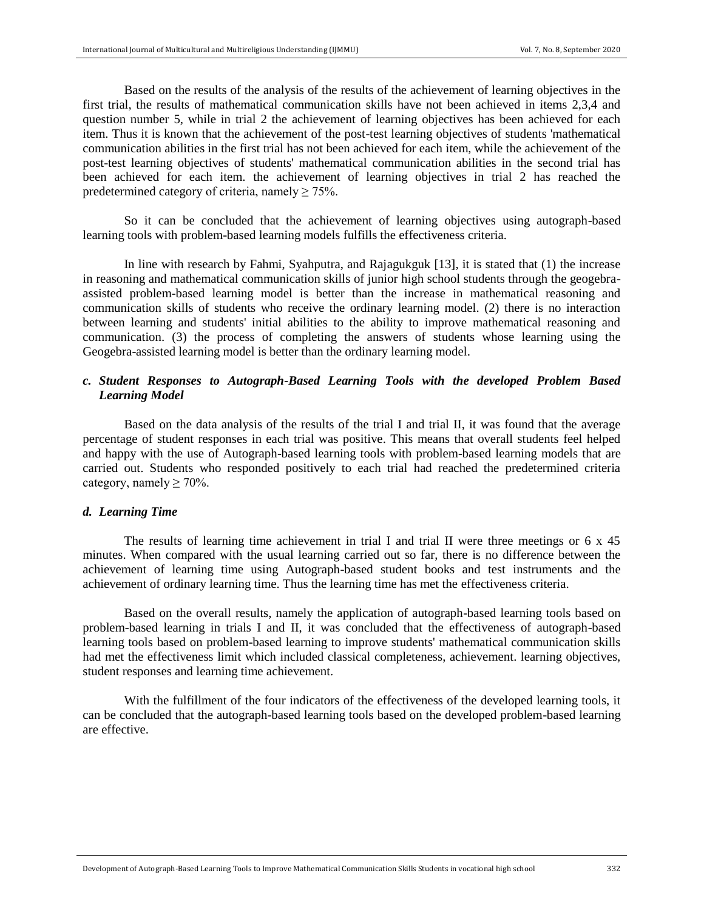Based on the results of the analysis of the results of the achievement of learning objectives in the first trial, the results of mathematical communication skills have not been achieved in items 2,3,4 and question number 5, while in trial 2 the achievement of learning objectives has been achieved for each item. Thus it is known that the achievement of the post-test learning objectives of students 'mathematical communication abilities in the first trial has not been achieved for each item, while the achievement of the post-test learning objectives of students' mathematical communication abilities in the second trial has been achieved for each item. the achievement of learning objectives in trial 2 has reached the predetermined category of criteria, namely  $\geq 75\%$ .

So it can be concluded that the achievement of learning objectives using autograph-based learning tools with problem-based learning models fulfills the effectiveness criteria.

In line with research by Fahmi, Syahputra, and Rajagukguk [13], it is stated that (1) the increase in reasoning and mathematical communication skills of junior high school students through the geogebraassisted problem-based learning model is better than the increase in mathematical reasoning and communication skills of students who receive the ordinary learning model. (2) there is no interaction between learning and students' initial abilities to the ability to improve mathematical reasoning and communication. (3) the process of completing the answers of students whose learning using the Geogebra-assisted learning model is better than the ordinary learning model.

# *c. Student Responses to Autograph-Based Learning Tools with the developed Problem Based Learning Model*

Based on the data analysis of the results of the trial I and trial II, it was found that the average percentage of student responses in each trial was positive. This means that overall students feel helped and happy with the use of Autograph-based learning tools with problem-based learning models that are carried out. Students who responded positively to each trial had reached the predetermined criteria category, namely  $\geq 70\%$ .

# *d. Learning Time*

The results of learning time achievement in trial I and trial II were three meetings or  $6 \times 45$ minutes. When compared with the usual learning carried out so far, there is no difference between the achievement of learning time using Autograph-based student books and test instruments and the achievement of ordinary learning time. Thus the learning time has met the effectiveness criteria.

Based on the overall results, namely the application of autograph-based learning tools based on problem-based learning in trials I and II, it was concluded that the effectiveness of autograph-based learning tools based on problem-based learning to improve students' mathematical communication skills had met the effectiveness limit which included classical completeness, achievement. learning objectives, student responses and learning time achievement.

With the fulfillment of the four indicators of the effectiveness of the developed learning tools, it can be concluded that the autograph-based learning tools based on the developed problem-based learning are effective.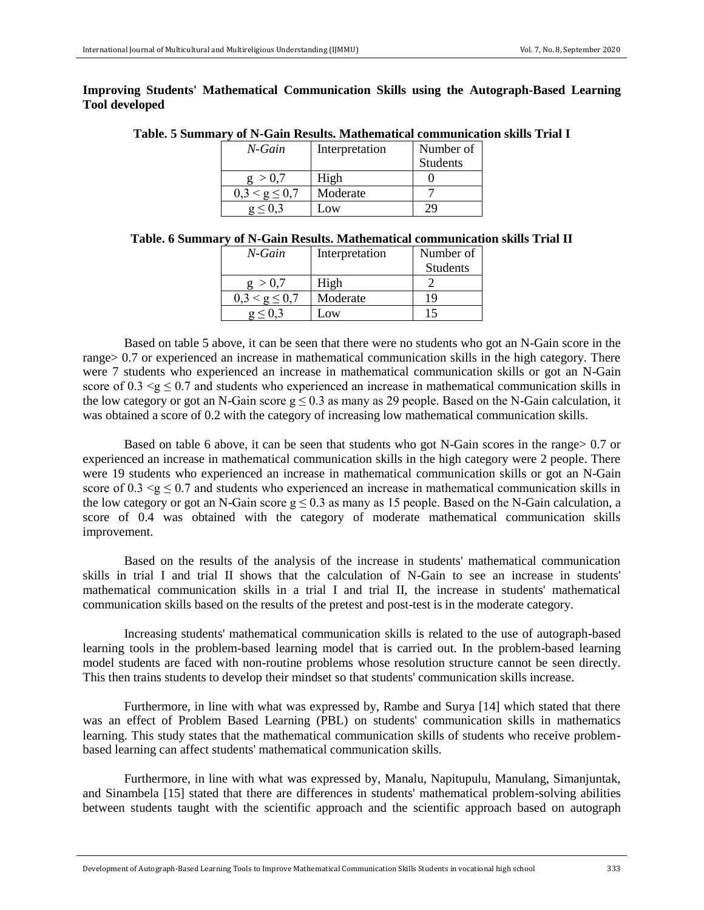# **Improving Students' Mathematical Communication Skills using the Autograph-Based Learning Tool developed**

|  | Table. 5 Summary of N-Gain Results. Mathematical communication skills Trial I |  |
|--|-------------------------------------------------------------------------------|--|
|  | M Cain Intermetation Wumber of                                                |  |

| N-Gain                     | Interpretation | Number of |
|----------------------------|----------------|-----------|
|                            |                | Students  |
| > 0.7                      | High           |           |
| $\leq \mathsf{g} \leq 0.7$ | Moderate       |           |
|                            | $-0W$          |           |

| Table. 6 Summary of N-Gain Results. Mathematical communication skills Trial II |  |  |  |  |  |
|--------------------------------------------------------------------------------|--|--|--|--|--|
|--------------------------------------------------------------------------------|--|--|--|--|--|

| N-Gain            | Interpretation | Number of |
|-------------------|----------------|-----------|
|                   |                | Students  |
| > 0.7             | High           |           |
| $0.3 < g \le 0.7$ | Moderate       | 19        |
|                   | .0W            |           |

Based on table 5 above, it can be seen that there were no students who got an N-Gain score in the range> 0.7 or experienced an increase in mathematical communication skills in the high category. There were 7 students who experienced an increase in mathematical communication skills or got an N-Gain score of 0.3  $\leq g \leq 0.7$  and students who experienced an increase in mathematical communication skills in the low category or got an N-Gain score  $g \le 0.3$  as many as 29 people. Based on the N-Gain calculation, it was obtained a score of 0.2 with the category of increasing low mathematical communication skills.

Based on table 6 above, it can be seen that students who got N-Gain scores in the range> 0.7 or experienced an increase in mathematical communication skills in the high category were 2 people. There were 19 students who experienced an increase in mathematical communication skills or got an N-Gain score of 0.3  $\leq g \leq 0.7$  and students who experienced an increase in mathematical communication skills in the low category or got an N-Gain score  $g \le 0.3$  as many as 15 people. Based on the N-Gain calculation, a score of 0.4 was obtained with the category of moderate mathematical communication skills improvement.

Based on the results of the analysis of the increase in students' mathematical communication skills in trial I and trial II shows that the calculation of N-Gain to see an increase in students' mathematical communication skills in a trial I and trial II, the increase in students' mathematical communication skills based on the results of the pretest and post-test is in the moderate category.

Increasing students' mathematical communication skills is related to the use of autograph-based learning tools in the problem-based learning model that is carried out. In the problem-based learning model students are faced with non-routine problems whose resolution structure cannot be seen directly. This then trains students to develop their mindset so that students' communication skills increase.

Furthermore, in line with what was expressed by, Rambe and Surya [14] which stated that there was an effect of Problem Based Learning (PBL) on students' communication skills in mathematics learning. This study states that the mathematical communication skills of students who receive problembased learning can affect students' mathematical communication skills.

Furthermore, in line with what was expressed by, Manalu, Napitupulu, Manulang, Simanjuntak, and Sinambela [15] stated that there are differences in students' mathematical problem-solving abilities between students taught with the scientific approach and the scientific approach based on autograph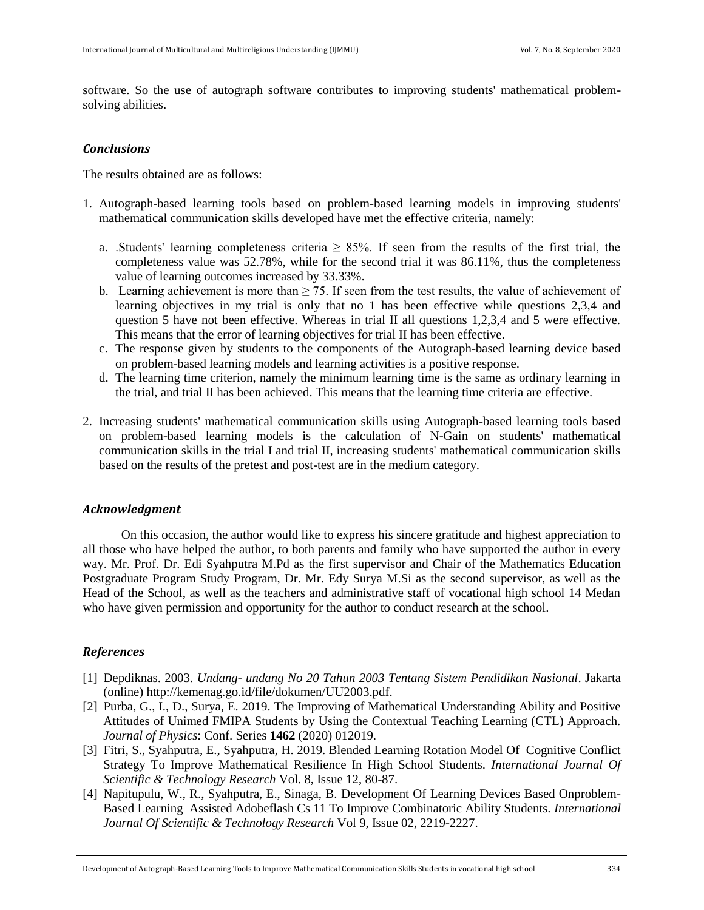software. So the use of autograph software contributes to improving students' mathematical problemsolving abilities.

### *Conclusions*

The results obtained are as follows:

- 1. Autograph-based learning tools based on problem-based learning models in improving students' mathematical communication skills developed have met the effective criteria, namely:
	- a. .Students' learning completeness criteria  $\geq$  85%. If seen from the results of the first trial, the completeness value was 52.78%, while for the second trial it was 86.11%, thus the completeness value of learning outcomes increased by 33.33%.
	- b. Learning achievement is more than  $\geq$  75. If seen from the test results, the value of achievement of learning objectives in my trial is only that no 1 has been effective while questions 2,3,4 and question 5 have not been effective. Whereas in trial II all questions  $1,2,3,4$  and 5 were effective. This means that the error of learning objectives for trial II has been effective.
	- c. The response given by students to the components of the Autograph-based learning device based on problem-based learning models and learning activities is a positive response.
	- d. The learning time criterion, namely the minimum learning time is the same as ordinary learning in the trial, and trial II has been achieved. This means that the learning time criteria are effective.
- 2. Increasing students' mathematical communication skills using Autograph-based learning tools based on problem-based learning models is the calculation of N-Gain on students' mathematical communication skills in the trial I and trial II, increasing students' mathematical communication skills based on the results of the pretest and post-test are in the medium category.

#### *Acknowledgment*

 On this occasion, the author would like to express his sincere gratitude and highest appreciation to all those who have helped the author, to both parents and family who have supported the author in every way. Mr. Prof. Dr. Edi Syahputra M.Pd as the first supervisor and Chair of the Mathematics Education Postgraduate Program Study Program, Dr. Mr. Edy Surya M.Si as the second supervisor, as well as the Head of the School, as well as the teachers and administrative staff of vocational high school 14 Medan who have given permission and opportunity for the author to conduct research at the school.

# *References*

- [1] Depdiknas. 2003. *Undang- undang No 20 Tahun 2003 Tentang Sistem Pendidikan Nasional*. Jakarta (online) [http://kemenag.go.id/file/dokumen/UU2003.pdf.](http://kemenag.go.id/file/dokumen/UU2003.pdf)
- [2] Purba, G., I., D., Surya, E. 2019. The Improving of Mathematical Understanding Ability and Positive Attitudes of Unimed FMIPA Students by Using the Contextual Teaching Learning (CTL) Approach. *Journal of Physics*: Conf. Series **1462** (2020) 012019.
- [3] Fitri, S., Syahputra, E., Syahputra, H. 2019. Blended Learning Rotation Model Of Cognitive Conflict Strategy To Improve Mathematical Resilience In High School Students. *International Journal Of Scientific & Technology Research* Vol. 8, Issue 12, 80-87.
- [4] Napitupulu, W., R., Syahputra, E., Sinaga, B. Development Of Learning Devices Based Onproblem-Based Learning Assisted Adobeflash Cs 11 To Improve Combinatoric Ability Students. *International Journal Of Scientific & Technology Research* Vol 9, Issue 02, 2219-2227.